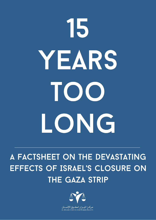# 15 YEARS TOO LONG

## A FACTSHEET ON THE DEVASTATING EFFECTS OF ISRAEL'S CLOSURE ON **THE GAZA STRIP**

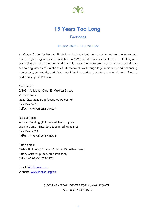

### 15 Years Too Long

#### Factsheet

#### 14 June 2007 – 14 June 2022

Al Mezan Center for Human Rights is an independent, non-partisan and non-governmental human rights organization established in 1999. Al Mezan is dedicated to protecting and advancing the respect of human rights, with a focus on economic, social, and cultural rights, supporting victims of violations of international law through legal initiatives, and enhancing democracy, community and citizen participation, and respect for the rule of law in Gaza as part of occupied Palestine.

Main office: 5/102-1 Al Mena, Omar El-Mukhtar Street Western Rimal Gaza City, Gaza Strip (occupied Palestine) P.O. Box 5270 Telfax: +970 (0)8 282-0442/7

Jabalia office: Al Eilah Building (1<sup>st</sup> Floor), Al Trans Square Jabalia Camp, Gaza Strip (occupied Palestine) P.O. Box: 2714 Telfax: +970 (0)8 248-4555/4

Rafah office: Qishta Building (1st Floor), Othman Bin Affan Street Rafah, Gaza Strip (occupied Palestine) Telfax: +970 (0)8 213-7120

Email: info@mezan.org Website: www.mezan.org/en

#### *© 2022 AL MEZAN CENTER FOR HUMAN RIGHTS ALL RIGHTS RESERVED*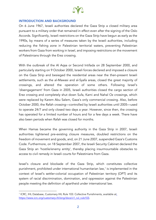

#### INTRODUCTION AND BACKGROUND

On 6 June 1967, Israeli authorities declared the Gaza Strip a closed military area pursuant to a military order that remained in effect even after the signing of the Oslo Accords. Significantly, Israeli restrictions on the Gaza Strip have begun as early as the 1990s, by means of a series of measures taken by the Israeli authorities, including reducing the fishing zone in Palestinian territorial waters, preventing Palestinian workers from Gaza from working in Israel, and imposing restrictions on the movement of Palestinians through the Erez crossing.

With the outbreak of the Al Aqsa or Second Intifada on 28 September 2000, and particularly starting on 9 October 2000, Israeli forces declared and imposed a closure on the Gaza Strip and besieged the residential areas near the then-present Israeli settlements, such as the al-Mawasi and al-Syafa areas, closed the great majority of crossings, and altered the operation of some others. Following Israel's 'disengagement' from Gaza in 2005, Israeli authorities closed the cargo section of Erez crossing and completely shut down Sufa, Karni and Nahal Oz crossings, which were replaced by Karem Abu Salem, Gaza's only commercial crossing. Also, before October 2000, the Rafah crossing—controlled by Israeli authorities until 2005—used to operate 24/7 and only closed two days a year. However, since then, the crossing has operated for a limited number of hours and for a few days a week. There have also been periods when Rafah was closed for months.

When Hamas became the governing authority in the Gaza Strip in 2007, Israeli authorities tightened pre-existing closure measures, doubled restrictions on the freedom of movement and goods, and, on 21 June 2007, suspended Gaza's Customs Code. Furthermore, on 18 September 2007, the Israeli Security Cabinet declared the Gaza Strip an 'hostile/enemy entity', thereby placing insurmountable obstacles to access to civil remedy in Israeli courts for Palestinians from Gaza.

Israel's closure and blockade of the Gaza Strip, which constitutes collective punishment, prohibited under international humanitarian law, <sup>1</sup> is implemented in the context of Israel's settler-colonial occupation of Palestinian territory (OPT) and its system of racial discrimination, domination, and oppression against the Palestinian people meeting the definition of apartheid under international law.

<sup>1</sup> ICRC, IHL Database, Customary IHL Rule 103: Collective Punishments, available at: https://www.icrc.org/customary-ihl/eng/docs/v1\_rul\_rule103.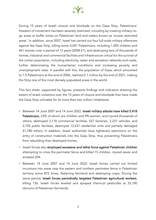

During 15 years of Israeli closure and blockade on the Gaza Strip, Palestinians' freedom of movement has been severely restricted, including by creating military nogo areas or buffer zones on Palestinian land and waters known as 'access restricted areas'. In addition, since 2007, Israel has carried out four full-scale military offensives against the Gaza Strip, killing some 4,041 Palestinians, including 1,005 children and 461 women over a period of 13 years (2008-21), and destroying tens of thousands of homes, industrial and commercial facilities and infrastructure critical for the survival of the civilian population, including electricity, water and sanitation networks and roads, further deteriorating the humanitarian conditions and increasing poverty and unemployment rates. In parallel with this, the population of Gaza, which amounted to 1.5 Palestinians at the end of 2006, reached 2.1 million by the end of 2021, making the Strip one of the most densely populated areas in the world.

This fact sheet, supported by figures, presents findings and indicators showing the extent of Israeli violations over the 15 years of closure and blockade that have made the Gaza Strip unlivable for its more than two million inhabitants.

- Between 14 June 2007 and 14 June 2022, Israeli military attacks have killed 5,418 Palestinians, 23% of whom are children and 9% women, and injured thousands of others; destroyed 3,118 commercial facilities, 557 factories, 2,237 vehicles, and 2,755 public facilities; destroyed 12,631 residential units and partially damaged 41,780 others. In addition, Israeli authorities have tightened restrictions on the entry of construction materials into the Gaza Strip, thus preventing Palestinians from rebuilding their destroyed homes.
- Israeli forces also employed excessive and lethal force against Palestinian children attempting to cross the perimeter fence and killed 15 children, injured seven and arrested 204.
- § Between 14 June 2007 and 14 June 2022, Israeli forces carried out limited incursions into areas near the eastern and northern perimeter fence in Palestinian territory some 872 times, flattening farmland and destroying crops. During the same period, Israeli forces periodically targeted Palestinian agricultural workers, killing 136. Israeli forces leveled and sprayed chemical pesticides at 33,100 donums of Palestinian farmlands.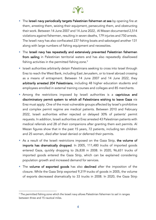

- **The Israeli navy periodically targets Palestinian fishermen at sea** by opening fire at them, arresting them, seizing their equipment, persecuting them, and obstructing their work. Between 14 June 2007 and 14 June 2022, Al Mezan documented 2,514 violations against fishermen, resulting in seven deaths, 179 injuries and 750 arrests. The Israeli navy has also confiscated 237 fishing boats and sabotaged another 131 along with large numbers of fishing equipment and necessities.
- The Israeli navy has repeatedly and extensively prevented Palestinian fishermen from sailing in Palestinian territorial waters and has also repeatedly disallowed fishing activities in the permitted fishing zone. $^{\rm 2}$
- **•** Israeli authorities arbitrarily detain Palestinians seeking to cross into Israel through Erez to reach the West Bank, including East Jerusalem, or to travel abroad crossing as a means of entrapment. Between 14 June 2007 and 14 June 2022, they arbitrarily arrested 204 Palestinians, including 48 higher education students and employees enrolled in external training courses and colleges and 85 merchants.
- **•** Among the restrictions imposed by Israeli authorities is a capricious and discriminatory permit system to which all Palestinians wishing to leave Gaza via Erez must apply. One of the most vulnerable groups affected by Israel's prohibitive and complex permit regime are medical patients. Between 2010 and February 2022, Israeli authorities either rejected or delayed 30% of patients' permit requests. In addition, Israeli authorities at Erez arrested 43 Palestinian patients with medical referrals and 28 of their companions after granting them exit permits. Al Mezan figures show that in the past 15 years, 72 patients, including ten children and 25 women, died after Israel denied or deferred their permits.
- As a result of the Israeli restrictions imposed on the Gaza Strip, the volume of imports has dramatically dropped. In 2005, 111,480 trucks of imported goods entered Gaza, quickly dropping to 26,838 in 2008. In 2020, 96,651 trucks of imported goods entered the Gaza Strip, which can be explained considering population growth and increased demand for services.
- The volume of exported goods has also declined after the imposition of the closure. While the Gaza Strip exported 9,319 trucks of goods in 2005, the volume of exports decreased dramatically to 33 trucks in 2008. In 2020, the Gaza Stirp

 $2$  The permitted fishing zone which the Israeli navy allows Palestinian fishermen to sail in ranges between three and 15 nautical miles.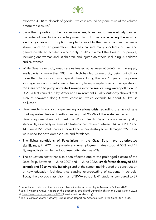

exported 3,118 truckloads of goods—which is around only one-third of the volume before the closure.3

- § Since the imposition of the closure measures, Israeli authorities routinely banned the entry of fuel to Gaza's sole power plant, further exacerbating the existing electricity crisis and prompting people to resort to the use of candles, kerosene stoves, and power generators. This has caused many incidents of fire and generator-related accidents which only in 2012 claimed the lives of 35 people, including one woman and 28 children, and injured 36 others, including 20 children and six women.
- § While Gaza's electricity needs are estimated at between 600-660 mw, the supply available is no more than 205 mw, which has led to electricity being cut off for more than 16 hours a day at specific times during the past 15 years. The power shortage crisis and Israel's ban on fuel entry have prompted many municipalities in the Gaza Strip to pump untreated sewage into the sea, causing water pollution. In 2021, a test carried out by Water and Environment Quality Authority showed that 75% of seawater along Gaza's coastline, which extends to about 40 km, is polluted. 4
- **•** Gaza residents are also experiencing a serious crisis regarding the lack of safe drinking water. Relevant authorities say that 96.2% of the water extracted from Gaza's aquifers does not meet the World Health Organization's water quality standards, especially in terms of nitrate concentration.5 Between 14 June 2007 and 14 June 2022, Israeli forces attacked and either destroyed or damaged 292 water wells used for both domestic use and farmlands.
- § The living conditions of Palestinians in the Gaza Strip have deteriorated significantly: in 2021, the poverty and unemployment rates stood at 53% and 47 %, respectively, while the food insecurity rate was 64%.
- The education sector has also been affected due to the prolonged closure of the Gaza Strip. Between 14 June 2007 and 14 June 2022, Israeli forces destroyed 536 schools and 32 university buildings and at the same time hindered the construction of new education facilities, thus causing overcrowding of students in schools. Today the average class size in an UNRWA school is 41 students compared to 39

<sup>&</sup>lt;sup>3</sup> Unpublished data from the Palestinian Trade Center accessed by Al Mezan on 5 June 2022.

<sup>4</sup> See Al Mezan's Annual Report on the Economic, Social and Cultural Rights in the Gaza Strip in 2021 at *http://www.mezan.org/post/32937* (, available in Arabic only).

<sup>&</sup>lt;sup>5</sup> The Palestinian Water Authority, unpublished Report on Water sources in the Gaza Strip in 2021.